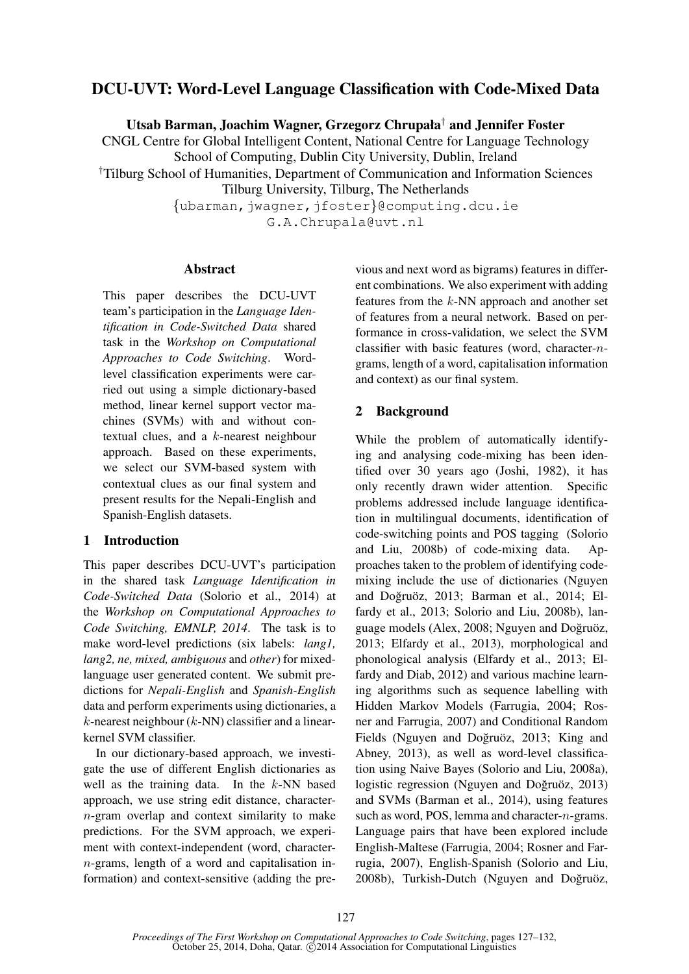# DCU-UVT: Word-Level Language Classification with Code-Mixed Data

Utsab Barman, Joachim Wagner, Grzegorz Chrupała† and Jennifer Foster

CNGL Centre for Global Intelligent Content, National Centre for Language Technology School of Computing, Dublin City University, Dublin, Ireland

†Tilburg School of Humanities, Department of Communication and Information Sciences

Tilburg University, Tilburg, The Netherlands

{ubarman,jwagner,jfoster}@computing.dcu.ie G.A.Chrupala@uvt.nl

### Abstract

This paper describes the DCU-UVT team's participation in the *Language Identification in Code-Switched Data* shared task in the *Workshop on Computational Approaches to Code Switching*. Wordlevel classification experiments were carried out using a simple dictionary-based method, linear kernel support vector machines (SVMs) with and without contextual clues, and a k-nearest neighbour approach. Based on these experiments, we select our SVM-based system with contextual clues as our final system and present results for the Nepali-English and Spanish-English datasets.

## 1 Introduction

This paper describes DCU-UVT's participation in the shared task *Language Identification in Code-Switched Data* (Solorio et al., 2014) at the *Workshop on Computational Approaches to Code Switching, EMNLP, 2014*. The task is to make word-level predictions (six labels: *lang1, lang2, ne, mixed, ambiguous* and *other*) for mixedlanguage user generated content. We submit predictions for *Nepali-English* and *Spanish-English* data and perform experiments using dictionaries, a  $k$ -nearest neighbour ( $k$ -NN) classifier and a linearkernel SVM classifier.

In our dictionary-based approach, we investigate the use of different English dictionaries as well as the training data. In the  $k$ -NN based approach, we use string edit distance, charactern-gram overlap and context similarity to make predictions. For the SVM approach, we experiment with context-independent (word, charactern-grams, length of a word and capitalisation information) and context-sensitive (adding the pre-

vious and next word as bigrams) features in different combinations. We also experiment with adding features from the k-NN approach and another set of features from a neural network. Based on performance in cross-validation, we select the SVM classifier with basic features (word, character-ngrams, length of a word, capitalisation information and context) as our final system.

# 2 Background

While the problem of automatically identifying and analysing code-mixing has been identified over 30 years ago (Joshi, 1982), it has only recently drawn wider attention. Specific problems addressed include language identification in multilingual documents, identification of code-switching points and POS tagging (Solorio and Liu, 2008b) of code-mixing data. Approaches taken to the problem of identifying codemixing include the use of dictionaries (Nguyen and Doğruöz, 2013; Barman et al., 2014; Elfardy et al., 2013; Solorio and Liu, 2008b), language models (Alex, 2008; Nguyen and Doğruöz, 2013; Elfardy et al., 2013), morphological and phonological analysis (Elfardy et al., 2013; Elfardy and Diab, 2012) and various machine learning algorithms such as sequence labelling with Hidden Markov Models (Farrugia, 2004; Rosner and Farrugia, 2007) and Conditional Random Fields (Nguyen and Doğruöz, 2013; King and Abney, 2013), as well as word-level classification using Naive Bayes (Solorio and Liu, 2008a), logistic regression (Nguyen and Doğru $\ddot{\sigma}$ z, 2013) and SVMs (Barman et al., 2014), using features such as word, POS, lemma and character-n-grams. Language pairs that have been explored include English-Maltese (Farrugia, 2004; Rosner and Farrugia, 2007), English-Spanish (Solorio and Liu, 2008b), Turkish-Dutch (Nguyen and Doğruöz,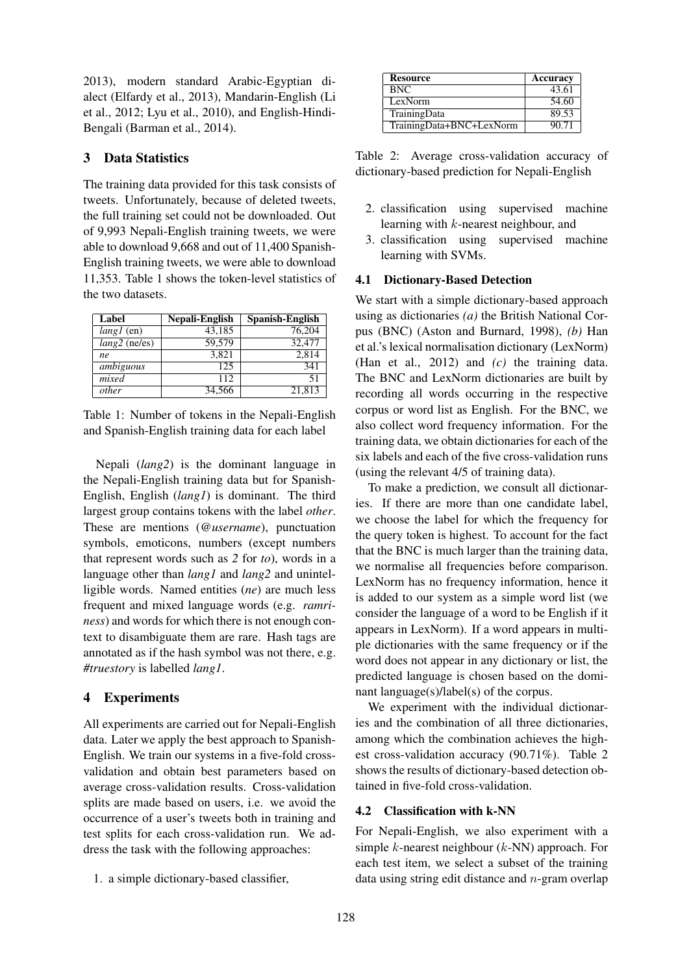2013), modern standard Arabic-Egyptian dialect (Elfardy et al., 2013), Mandarin-English (Li et al., 2012; Lyu et al., 2010), and English-Hindi-Bengali (Barman et al., 2014).

## 3 Data Statistics

The training data provided for this task consists of tweets. Unfortunately, because of deleted tweets, the full training set could not be downloaded. Out of 9,993 Nepali-English training tweets, we were able to download 9,668 and out of 11,400 Spanish-English training tweets, we were able to download 11,353. Table 1 shows the token-level statistics of the two datasets.

| Label           | Nepali-English      | Spanish-English |
|-----------------|---------------------|-----------------|
| $lang1$ (en)    | $\overline{43,185}$ | 76.204          |
| $lang2$ (ne/es) | 59,579              | 32,477          |
| ne              | 3,821               | 2,814           |
| ambiguous       | 125                 | 341             |
| mixed           | 112                 | 51              |
| other           | 34.566              | 21,813          |

Table 1: Number of tokens in the Nepali-English and Spanish-English training data for each label

Nepali (*lang2*) is the dominant language in the Nepali-English training data but for Spanish-English, English (*lang1*) is dominant. The third largest group contains tokens with the label *other*. These are mentions (*@username*), punctuation symbols, emoticons, numbers (except numbers that represent words such as *2* for *to*), words in a language other than *lang1* and *lang2* and unintelligible words. Named entities (*ne*) are much less frequent and mixed language words (e.g. *ramriness*) and words for which there is not enough context to disambiguate them are rare. Hash tags are annotated as if the hash symbol was not there, e.g. *#truestory* is labelled *lang1*.

## 4 Experiments

All experiments are carried out for Nepali-English data. Later we apply the best approach to Spanish-English. We train our systems in a five-fold crossvalidation and obtain best parameters based on average cross-validation results. Cross-validation splits are made based on users, i.e. we avoid the occurrence of a user's tweets both in training and test splits for each cross-validation run. We address the task with the following approaches:

1. a simple dictionary-based classifier,

| <b>Resource</b>          | Accuracy |
|--------------------------|----------|
| <b>BNC</b>               | 43.61    |
| LexNorm                  | 54.60    |
| TrainingData             | 89.53    |
| TrainingData+BNC+LexNorm | 90.71    |

Table 2: Average cross-validation accuracy of dictionary-based prediction for Nepali-English

- 2. classification using supervised machine learning with k-nearest neighbour, and
- 3. classification using supervised machine learning with SVMs.

### 4.1 Dictionary-Based Detection

We start with a simple dictionary-based approach using as dictionaries *(a)* the British National Corpus (BNC) (Aston and Burnard, 1998), *(b)* Han et al.'s lexical normalisation dictionary (LexNorm) (Han et al., 2012) and *(c)* the training data. The BNC and LexNorm dictionaries are built by recording all words occurring in the respective corpus or word list as English. For the BNC, we also collect word frequency information. For the training data, we obtain dictionaries for each of the six labels and each of the five cross-validation runs (using the relevant 4/5 of training data).

To make a prediction, we consult all dictionaries. If there are more than one candidate label, we choose the label for which the frequency for the query token is highest. To account for the fact that the BNC is much larger than the training data, we normalise all frequencies before comparison. LexNorm has no frequency information, hence it is added to our system as a simple word list (we consider the language of a word to be English if it appears in LexNorm). If a word appears in multiple dictionaries with the same frequency or if the word does not appear in any dictionary or list, the predicted language is chosen based on the dominant language(s)/label(s) of the corpus.

We experiment with the individual dictionaries and the combination of all three dictionaries, among which the combination achieves the highest cross-validation accuracy (90.71%). Table 2 shows the results of dictionary-based detection obtained in five-fold cross-validation.

## 4.2 Classification with k-NN

For Nepali-English, we also experiment with a simple  $k$ -nearest neighbour  $(k-NN)$  approach. For each test item, we select a subset of the training data using string edit distance and n-gram overlap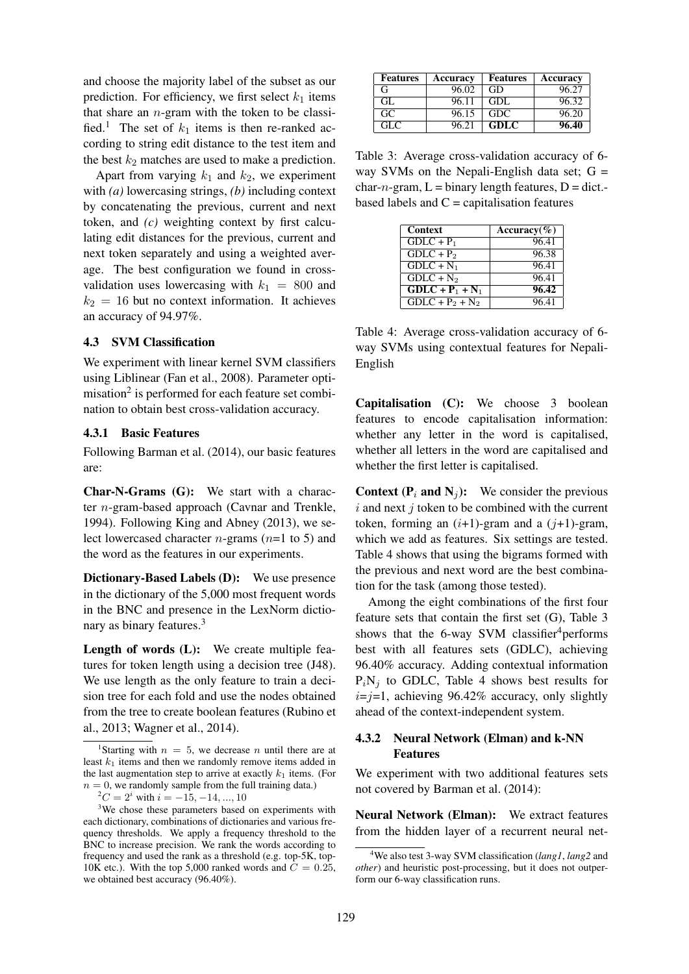and choose the majority label of the subset as our prediction. For efficiency, we first select  $k_1$  items that share an  $n$ -gram with the token to be classified.<sup>1</sup> The set of  $k_1$  items is then re-ranked according to string edit distance to the test item and the best  $k_2$  matches are used to make a prediction.

Apart from varying  $k_1$  and  $k_2$ , we experiment with *(a)* lowercasing strings, *(b)* including context by concatenating the previous, current and next token, and *(c)* weighting context by first calculating edit distances for the previous, current and next token separately and using a weighted average. The best configuration we found in crossvalidation uses lowercasing with  $k_1 = 800$  and  $k_2 = 16$  but no context information. It achieves an accuracy of 94.97%.

### 4.3 SVM Classification

We experiment with linear kernel SVM classifiers using Liblinear (Fan et al., 2008). Parameter optimisation<sup>2</sup> is performed for each feature set combination to obtain best cross-validation accuracy.

### 4.3.1 Basic Features

Following Barman et al. (2014), our basic features are:

Char-N-Grams (G): We start with a character n-gram-based approach (Cavnar and Trenkle, 1994). Following King and Abney (2013), we select lowercased character *n*-grams  $(n=1 \text{ to } 5)$  and the word as the features in our experiments.

Dictionary-Based Labels (D): We use presence in the dictionary of the 5,000 most frequent words in the BNC and presence in the LexNorm dictionary as binary features.<sup>3</sup>

Length of words (L): We create multiple features for token length using a decision tree (J48). We use length as the only feature to train a decision tree for each fold and use the nodes obtained from the tree to create boolean features (Rubino et al., 2013; Wagner et al., 2014).

 $^{2}C = 2^{i}$  with  $i = -15, -14, ..., 10$ 

| <b>Features</b> | Accuracy | <b>Features</b> | Accuracy |
|-----------------|----------|-----------------|----------|
| G               | 96.02    | GD              | 96.27    |
| GL.             | 96.11    | GDL             | 96.32    |
| GC.             | 96.15    | <b>GDC</b>      | 96.20    |
| GL C            | 96.21    | <b>GDLC</b>     | 96.40    |

Table 3: Average cross-validation accuracy of 6 way SVMs on the Nepali-English data set;  $G =$ char-n-gram,  $L = binary$  length features,  $D = dict$ . based labels and  $C =$  capitalisation features

| Context                       | Accuracy $(\% )$ |
|-------------------------------|------------------|
| $GDLC + P_1$                  | 96.41            |
| $GDLC + P2$                   | 96.38            |
| $GDLC + N_1$                  | 96.41            |
| $GDLC + N2$                   | 96.41            |
| $\overline{GDLC + P_1 + N_1}$ | 96.42            |
| $GDLC + P_2 + N_2$            | 96.41            |

Table 4: Average cross-validation accuracy of 6 way SVMs using contextual features for Nepali-English

Capitalisation (C): We choose 3 boolean features to encode capitalisation information: whether any letter in the word is capitalised, whether all letters in the word are capitalised and whether the first letter is capitalised.

**Context (P<sub>i</sub> and N<sub>j</sub>):** We consider the previous  $i$  and next  $j$  token to be combined with the current token, forming an  $(i+1)$ -gram and a  $(j+1)$ -gram, which we add as features. Six settings are tested. Table 4 shows that using the bigrams formed with the previous and next word are the best combination for the task (among those tested).

Among the eight combinations of the first four feature sets that contain the first set (G), Table 3 shows that the 6-way SVM classifier<sup>4</sup> performs best with all features sets (GDLC), achieving 96.40% accuracy. Adding contextual information  $P_iN_j$  to GDLC, Table 4 shows best results for  $i=j=1$ , achieving 96.42% accuracy, only slightly ahead of the context-independent system.

## 4.3.2 Neural Network (Elman) and k-NN Features

We experiment with two additional features sets not covered by Barman et al. (2014):

Neural Network (Elman): We extract features from the hidden layer of a recurrent neural net-

<sup>&</sup>lt;sup>1</sup>Starting with  $n = 5$ , we decrease n until there are at least  $k_1$  items and then we randomly remove items added in the last augmentation step to arrive at exactly  $k_1$  items. (For  $n = 0$ , we randomly sample from the full training data.)

<sup>&</sup>lt;sup>3</sup>We chose these parameters based on experiments with each dictionary, combinations of dictionaries and various frequency thresholds. We apply a frequency threshold to the BNC to increase precision. We rank the words according to frequency and used the rank as a threshold (e.g. top-5K, top-10K etc.). With the top 5,000 ranked words and  $\dot{C} = 0.25$ , we obtained best accuracy (96.40%).

<sup>4</sup>We also test 3-way SVM classification (*lang1*, *lang2* and *other*) and heuristic post-processing, but it does not outperform our 6-way classification runs.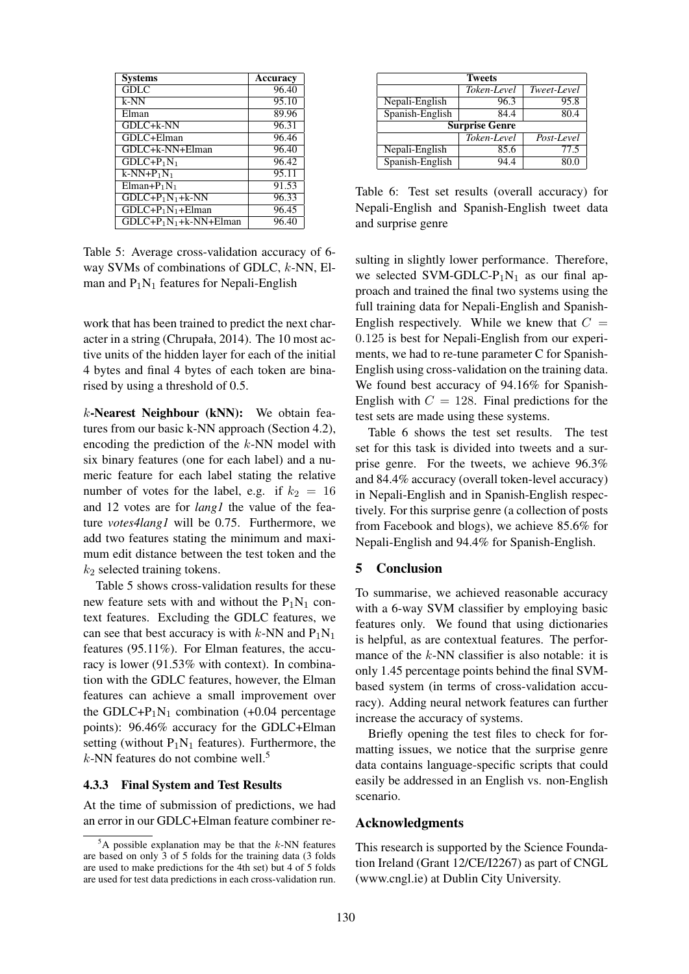| <b>Systems</b>         | Accuracy |
|------------------------|----------|
| GDL                    | 96.40    |
| $k-NN$                 | 95.10    |
| Elman                  | 89.96    |
| GDLC+k-NN              | 96.31    |
| GDLC+Elman             | 96.46    |
| GDLC+k-NN+Elman        | 96.40    |
| $GDLC + P_1N_1$        | 96.42    |
| $k-NN+P_1N_1$          | 95.11    |
| $Elman+P1N1$           | 91.53    |
| $GDLC+P1N1+k-NN$       | 96.33    |
| $GDLC+P1N1+Elman$      | 96.45    |
| $GDLC+P1N1+k-NN+Elman$ | 96.40    |

Table 5: Average cross-validation accuracy of 6 way SVMs of combinations of GDLC, k-NN, Elman and  $P_1N_1$  features for Nepali-English

work that has been trained to predict the next character in a string (Chrupała, 2014). The 10 most active units of the hidden layer for each of the initial 4 bytes and final 4 bytes of each token are binarised by using a threshold of 0.5.

k-Nearest Neighbour (kNN): We obtain features from our basic k-NN approach (Section 4.2), encoding the prediction of the k-NN model with six binary features (one for each label) and a numeric feature for each label stating the relative number of votes for the label, e.g. if  $k_2 = 16$ and 12 votes are for *lang1* the value of the feature *votes4lang1* will be 0.75. Furthermore, we add two features stating the minimum and maximum edit distance between the test token and the  $k_2$  selected training tokens.

Table 5 shows cross-validation results for these new feature sets with and without the  $P_1N_1$  context features. Excluding the GDLC features, we can see that best accuracy is with  $k$ -NN and  $P_1N_1$ features (95.11%). For Elman features, the accuracy is lower (91.53% with context). In combination with the GDLC features, however, the Elman features can achieve a small improvement over the GDLC+ $P_1N_1$  combination (+0.04 percentage points): 96.46% accuracy for the GDLC+Elman setting (without  $P_1N_1$  features). Furthermore, the  $k$ -NN features do not combine well.<sup>5</sup>

#### 4.3.3 Final System and Test Results

At the time of submission of predictions, we had an error in our GDLC+Elman feature combiner re-

| <b>Tweets</b>         |             |             |  |  |
|-----------------------|-------------|-------------|--|--|
|                       | Token-Level | Tweet-Level |  |  |
| Nepali-English        | 96.3        | 95.8        |  |  |
| Spanish-English       | 84.4        | 80.4        |  |  |
| <b>Surprise Genre</b> |             |             |  |  |
|                       | Token-Level | Post-Level  |  |  |
| Nepali-English        | 85.6        | 77.5        |  |  |
| Spanish-English       | 94.4        | 80.0        |  |  |

Table 6: Test set results (overall accuracy) for Nepali-English and Spanish-English tweet data and surprise genre

sulting in slightly lower performance. Therefore, we selected SVM-GDLC- $P_1N_1$  as our final approach and trained the final two systems using the full training data for Nepali-English and Spanish-English respectively. While we knew that  $C =$ 0.125 is best for Nepali-English from our experiments, we had to re-tune parameter C for Spanish-English using cross-validation on the training data. We found best accuracy of 94.16% for Spanish-English with  $C = 128$ . Final predictions for the test sets are made using these systems.

Table 6 shows the test set results. The test set for this task is divided into tweets and a surprise genre. For the tweets, we achieve 96.3% and 84.4% accuracy (overall token-level accuracy) in Nepali-English and in Spanish-English respectively. For this surprise genre (a collection of posts from Facebook and blogs), we achieve 85.6% for Nepali-English and 94.4% for Spanish-English.

#### 5 Conclusion

To summarise, we achieved reasonable accuracy with a 6-way SVM classifier by employing basic features only. We found that using dictionaries is helpful, as are contextual features. The performance of the  $k$ -NN classifier is also notable: it is only 1.45 percentage points behind the final SVMbased system (in terms of cross-validation accuracy). Adding neural network features can further increase the accuracy of systems.

Briefly opening the test files to check for formatting issues, we notice that the surprise genre data contains language-specific scripts that could easily be addressed in an English vs. non-English scenario.

#### Acknowledgments

This research is supported by the Science Foundation Ireland (Grant 12/CE/I2267) as part of CNGL (www.cngl.ie) at Dublin City University.

 $5A$  possible explanation may be that the k-NN features are based on only 3 of 5 folds for the training data (3 folds are used to make predictions for the 4th set) but 4 of 5 folds are used for test data predictions in each cross-validation run.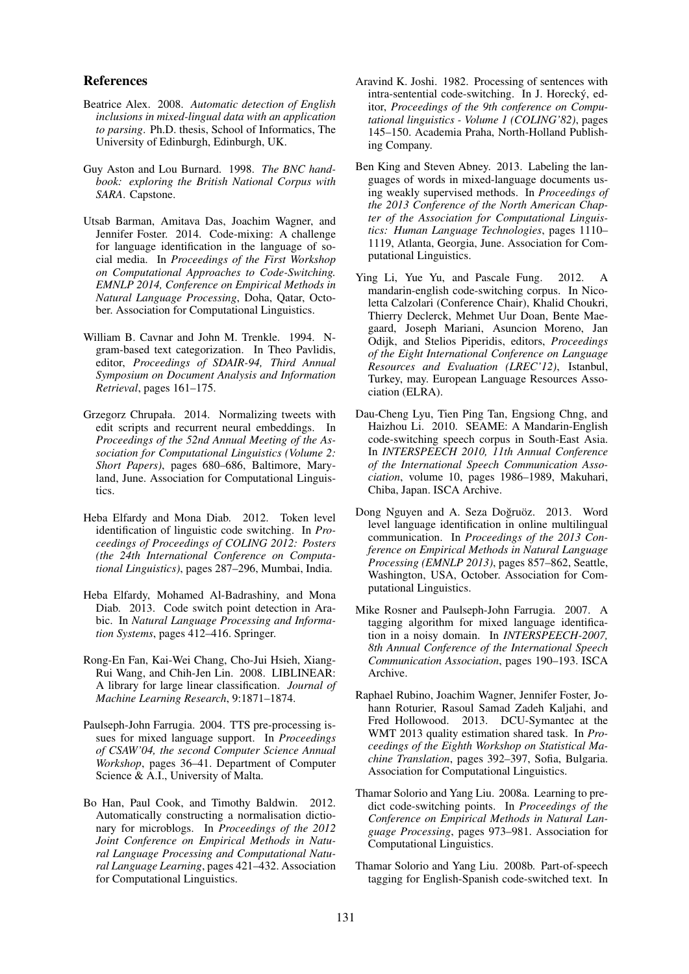#### References

- Beatrice Alex. 2008. *Automatic detection of English inclusions in mixed-lingual data with an application to parsing*. Ph.D. thesis, School of Informatics, The University of Edinburgh, Edinburgh, UK.
- Guy Aston and Lou Burnard. 1998. *The BNC handbook: exploring the British National Corpus with SARA*. Capstone.
- Utsab Barman, Amitava Das, Joachim Wagner, and Jennifer Foster. 2014. Code-mixing: A challenge for language identification in the language of social media. In *Proceedings of the First Workshop on Computational Approaches to Code-Switching. EMNLP 2014, Conference on Empirical Methods in Natural Language Processing*, Doha, Qatar, October. Association for Computational Linguistics.
- William B. Cavnar and John M. Trenkle. 1994. Ngram-based text categorization. In Theo Pavlidis, editor, *Proceedings of SDAIR-94, Third Annual Symposium on Document Analysis and Information Retrieval*, pages 161–175.
- Grzegorz Chrupała. 2014. Normalizing tweets with edit scripts and recurrent neural embeddings. In *Proceedings of the 52nd Annual Meeting of the Association for Computational Linguistics (Volume 2: Short Papers)*, pages 680–686, Baltimore, Maryland, June. Association for Computational Linguistics.
- Heba Elfardy and Mona Diab. 2012. Token level identification of linguistic code switching. In *Proceedings of Proceedings of COLING 2012: Posters (the 24th International Conference on Computational Linguistics)*, pages 287–296, Mumbai, India.
- Heba Elfardy, Mohamed Al-Badrashiny, and Mona Diab. 2013. Code switch point detection in Arabic. In *Natural Language Processing and Information Systems*, pages 412–416. Springer.
- Rong-En Fan, Kai-Wei Chang, Cho-Jui Hsieh, Xiang-Rui Wang, and Chih-Jen Lin. 2008. LIBLINEAR: A library for large linear classification. *Journal of Machine Learning Research*, 9:1871–1874.
- Paulseph-John Farrugia. 2004. TTS pre-processing issues for mixed language support. In *Proceedings of CSAW'04, the second Computer Science Annual Workshop*, pages 36–41. Department of Computer Science & A.I., University of Malta.
- Bo Han, Paul Cook, and Timothy Baldwin. 2012. Automatically constructing a normalisation dictionary for microblogs. In *Proceedings of the 2012 Joint Conference on Empirical Methods in Natural Language Processing and Computational Natural Language Learning*, pages 421–432. Association for Computational Linguistics.
- Aravind K. Joshi. 1982. Processing of sentences with intra-sentential code-switching. In J. Horecky, ed- ´ itor, *Proceedings of the 9th conference on Computational linguistics - Volume 1 (COLING'82)*, pages 145–150. Academia Praha, North-Holland Publishing Company.
- Ben King and Steven Abney. 2013. Labeling the languages of words in mixed-language documents using weakly supervised methods. In *Proceedings of the 2013 Conference of the North American Chapter of the Association for Computational Linguistics: Human Language Technologies*, pages 1110– 1119, Atlanta, Georgia, June. Association for Computational Linguistics.
- Ying Li, Yue Yu, and Pascale Fung. 2012. A mandarin-english code-switching corpus. In Nicoletta Calzolari (Conference Chair), Khalid Choukri, Thierry Declerck, Mehmet Uur Doan, Bente Maegaard, Joseph Mariani, Asuncion Moreno, Jan Odijk, and Stelios Piperidis, editors, *Proceedings of the Eight International Conference on Language Resources and Evaluation (LREC'12)*, Istanbul, Turkey, may. European Language Resources Association (ELRA).
- Dau-Cheng Lyu, Tien Ping Tan, Engsiong Chng, and Haizhou Li. 2010. SEAME: A Mandarin-English code-switching speech corpus in South-East Asia. In *INTERSPEECH 2010, 11th Annual Conference of the International Speech Communication Association*, volume 10, pages 1986–1989, Makuhari, Chiba, Japan. ISCA Archive.
- Dong Nguyen and A. Seza Doğruöz. 2013. Word level language identification in online multilingual communication. In *Proceedings of the 2013 Conference on Empirical Methods in Natural Language Processing (EMNLP 2013)*, pages 857–862, Seattle, Washington, USA, October. Association for Computational Linguistics.
- Mike Rosner and Paulseph-John Farrugia. 2007. A tagging algorithm for mixed language identification in a noisy domain. In *INTERSPEECH-2007, 8th Annual Conference of the International Speech Communication Association*, pages 190–193. ISCA Archive.
- Raphael Rubino, Joachim Wagner, Jennifer Foster, Johann Roturier, Rasoul Samad Zadeh Kaljahi, and Fred Hollowood. 2013. DCU-Symantec at the WMT 2013 quality estimation shared task. In *Proceedings of the Eighth Workshop on Statistical Machine Translation*, pages 392–397, Sofia, Bulgaria. Association for Computational Linguistics.
- Thamar Solorio and Yang Liu. 2008a. Learning to predict code-switching points. In *Proceedings of the Conference on Empirical Methods in Natural Language Processing*, pages 973–981. Association for Computational Linguistics.
- Thamar Solorio and Yang Liu. 2008b. Part-of-speech tagging for English-Spanish code-switched text. In